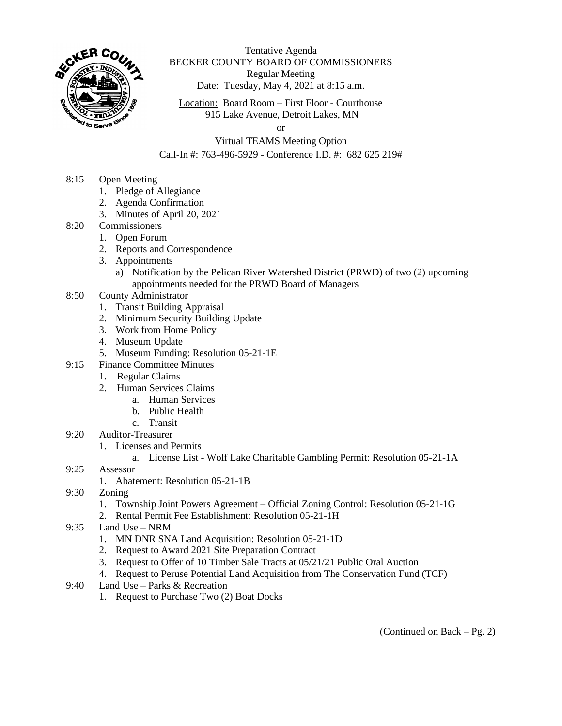

Tentative Agenda BECKER COUNTY BOARD OF COMMISSIONERS Regular Meeting Date: Tuesday, May 4, 2021 at 8:15 a.m.

Location: Board Room – First Floor - Courthouse 915 Lake Avenue, Detroit Lakes, MN

or

## Virtual TEAMS Meeting Option

Call-In #: 763-496-5929 - Conference I.D. #: 682 625 219#

- 8:15 Open Meeting
	- 1. Pledge of Allegiance
	- 2. Agenda Confirmation
	- 3. Minutes of April 20, 2021
- 8:20 Commissioners
	- 1. Open Forum
		- 2. Reports and Correspondence
		- 3. Appointments
			- a) Notification by the Pelican River Watershed District (PRWD) of two (2) upcoming appointments needed for the PRWD Board of Managers
- 8:50 County Administrator
	- 1. Transit Building Appraisal
	- 2. Minimum Security Building Update
	- 3. Work from Home Policy
	- 4. Museum Update
	- 5. Museum Funding: Resolution 05-21-1E
- 9:15 Finance Committee Minutes
	- 1. Regular Claims
	- 2. Human Services Claims
		- a. Human Services
		- b. Public Health
		- c. Transit
- 9:20 Auditor-Treasurer
	- 1. Licenses and Permits
		- a. License List Wolf Lake Charitable Gambling Permit: Resolution 05-21-1A
- 9:25 Assessor
	- 1. Abatement: Resolution 05-21-1B
- 9:30 Zoning
	- 1. Township Joint Powers Agreement Official Zoning Control: Resolution 05-21-1G
	- 2. Rental Permit Fee Establishment: Resolution 05-21-1H
- 9:35 Land Use NRM
	- 1. MN DNR SNA Land Acquisition: Resolution 05-21-1D
	- 2. Request to Award 2021 Site Preparation Contract
	- 3. Request to Offer of 10 Timber Sale Tracts at 05/21/21 Public Oral Auction
	- 4. Request to Peruse Potential Land Acquisition from The Conservation Fund (TCF)
- 9:40 Land Use Parks & Recreation
	- 1. Request to Purchase Two (2) Boat Docks